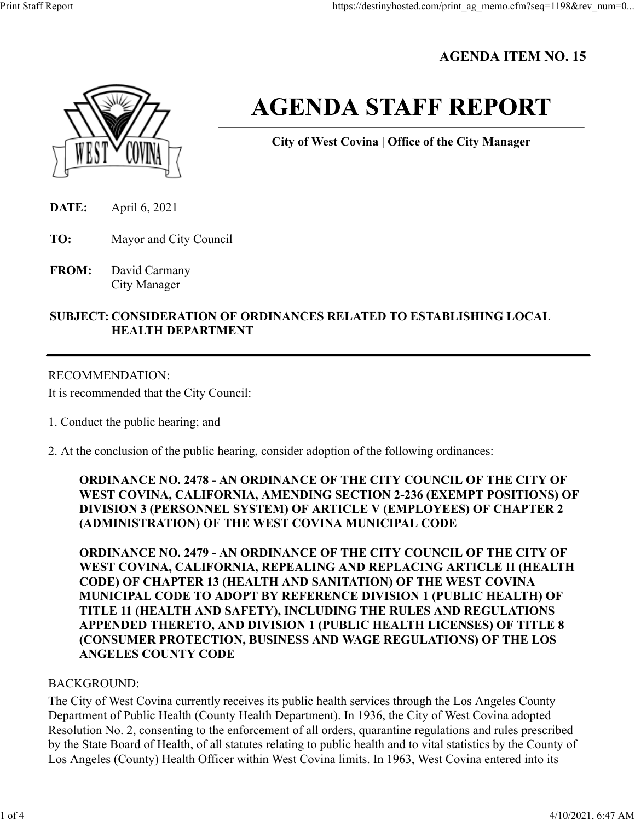## **AGENDA ITEM NO. 15**



# **AGENDA STAFF REPORT**

**City of West Covina | Office of the City Manager**

- **DATE:** April 6, 2021
- **TO:** Mayor and City Council
- **FROM:** David Carmany City Manager

## **SUBJECT: CONSIDERATION OF ORDINANCES RELATED TO ESTABLISHING LOCAL HEALTH DEPARTMENT**

## RECOMMENDATION:

It is recommended that the City Council:

- 1. Conduct the public hearing; and
- 2. At the conclusion of the public hearing, consider adoption of the following ordinances:

**ORDINANCE NO. 2478 - AN ORDINANCE OF THE CITY COUNCIL OF THE CITY OF WEST COVINA, CALIFORNIA, AMENDING SECTION 2-236 (EXEMPT POSITIONS) OF DIVISION 3 (PERSONNEL SYSTEM) OF ARTICLE V (EMPLOYEES) OF CHAPTER 2 (ADMINISTRATION) OF THE WEST COVINA MUNICIPAL CODE**

**ORDINANCE NO. 2479 - AN ORDINANCE OF THE CITY COUNCIL OF THE CITY OF WEST COVINA, CALIFORNIA, REPEALING AND REPLACING ARTICLE II (HEALTH CODE) OF CHAPTER 13 (HEALTH AND SANITATION) OF THE WEST COVINA MUNICIPAL CODE TO ADOPT BY REFERENCE DIVISION 1 (PUBLIC HEALTH) OF TITLE 11 (HEALTH AND SAFETY), INCLUDING THE RULES AND REGULATIONS APPENDED THERETO, AND DIVISION 1 (PUBLIC HEALTH LICENSES) OF TITLE 8 (CONSUMER PROTECTION, BUSINESS AND WAGE REGULATIONS) OF THE LOS ANGELES COUNTY CODE**

#### BACKGROUND:

The City of West Covina currently receives its public health services through the Los Angeles County Department of Public Health (County Health Department). In 1936, the City of West Covina adopted Resolution No. 2, consenting to the enforcement of all orders, quarantine regulations and rules prescribed by the State Board of Health, of all statutes relating to public health and to vital statistics by the County of Los Angeles (County) Health Officer within West Covina limits. In 1963, West Covina entered into its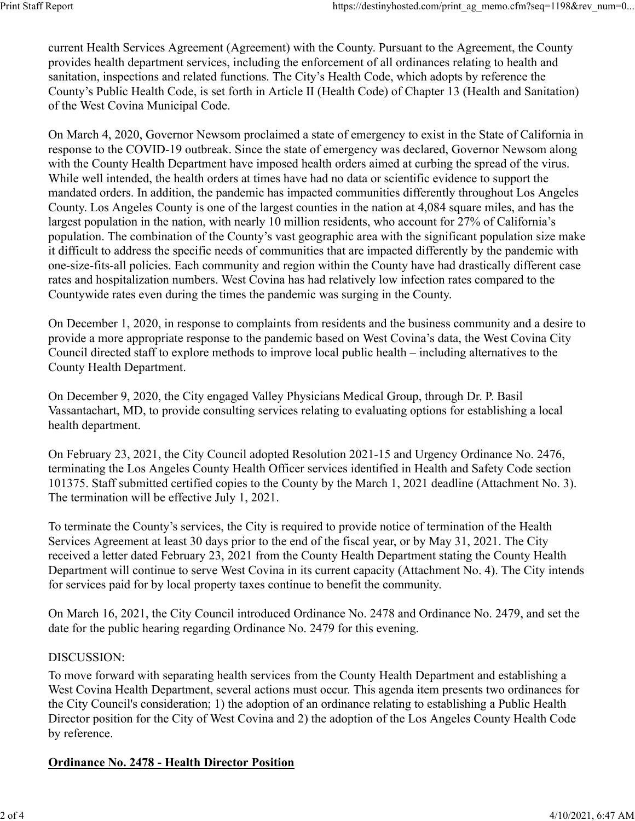current Health Services Agreement (Agreement) with the County. Pursuant to the Agreement, the County provides health department services, including the enforcement of all ordinances relating to health and sanitation, inspections and related functions. The City's Health Code, which adopts by reference the County's Public Health Code, is set forth in Article II (Health Code) of Chapter 13 (Health and Sanitation) of the West Covina Municipal Code.

On March 4, 2020, Governor Newsom proclaimed a state of emergency to exist in the State of California in response to the COVID-19 outbreak. Since the state of emergency was declared, Governor Newsom along with the County Health Department have imposed health orders aimed at curbing the spread of the virus. While well intended, the health orders at times have had no data or scientific evidence to support the mandated orders. In addition, the pandemic has impacted communities differently throughout Los Angeles County. Los Angeles County is one of the largest counties in the nation at 4,084 square miles, and has the largest population in the nation, with nearly 10 million residents, who account for 27% of California's population. The combination of the County's vast geographic area with the significant population size make it difficult to address the specific needs of communities that are impacted differently by the pandemic with one-size-fits-all policies. Each community and region within the County have had drastically different case rates and hospitalization numbers. West Covina has had relatively low infection rates compared to the Countywide rates even during the times the pandemic was surging in the County.

On December 1, 2020, in response to complaints from residents and the business community and a desire to provide a more appropriate response to the pandemic based on West Covina's data, the West Covina City Council directed staff to explore methods to improve local public health – including alternatives to the County Health Department.

On December 9, 2020, the City engaged Valley Physicians Medical Group, through Dr. P. Basil Vassantachart, MD, to provide consulting services relating to evaluating options for establishing a local health department.

On February 23, 2021, the City Council adopted Resolution 2021-15 and Urgency Ordinance No. 2476, terminating the Los Angeles County Health Officer services identified in Health and Safety Code section 101375. Staff submitted certified copies to the County by the March 1, 2021 deadline (Attachment No. 3). The termination will be effective July 1, 2021.

To terminate the County's services, the City is required to provide notice of termination of the Health Services Agreement at least 30 days prior to the end of the fiscal year, or by May 31, 2021. The City received a letter dated February 23, 2021 from the County Health Department stating the County Health Department will continue to serve West Covina in its current capacity (Attachment No. 4). The City intends for services paid for by local property taxes continue to benefit the community.

On March 16, 2021, the City Council introduced Ordinance No. 2478 and Ordinance No. 2479, and set the date for the public hearing regarding Ordinance No. 2479 for this evening.

## DISCUSSION:

To move forward with separating health services from the County Health Department and establishing a West Covina Health Department, several actions must occur. This agenda item presents two ordinances for the City Council's consideration; 1) the adoption of an ordinance relating to establishing a Public Health Director position for the City of West Covina and 2) the adoption of the Los Angeles County Health Code by reference.

## **Ordinance No. 2478 - Health Director Position**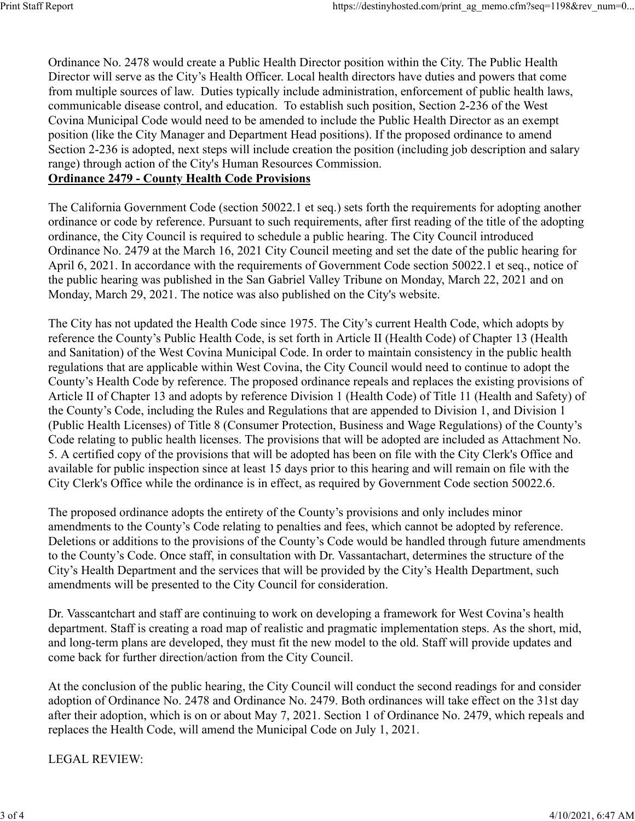Ordinance No. 2478 would create a Public Health Director position within the City. The Public Health Director will serve as the City's Health Officer. Local health directors have duties and powers that come from multiple sources of law. Duties typically include administration, enforcement of public health laws, communicable disease control, and education. To establish such position, Section 2-236 of the West Covina Municipal Code would need to be amended to include the Public Health Director as an exempt position (like the City Manager and Department Head positions). If the proposed ordinance to amend Section 2-236 is adopted, next steps will include creation the position (including job description and salary range) through action of the City's Human Resources Commission.

#### **Ordinance 2479 - County Health Code Provisions**

The California Government Code (section 50022.1 et seq.) sets forth the requirements for adopting another ordinance or code by reference. Pursuant to such requirements, after first reading of the title of the adopting ordinance, the City Council is required to schedule a public hearing. The City Council introduced Ordinance No. 2479 at the March 16, 2021 City Council meeting and set the date of the public hearing for April 6, 2021. In accordance with the requirements of Government Code section 50022.1 et seq., notice of the public hearing was published in the San Gabriel Valley Tribune on Monday, March 22, 2021 and on Monday, March 29, 2021. The notice was also published on the City's website.

The City has not updated the Health Code since 1975. The City's current Health Code, which adopts by reference the County's Public Health Code, is set forth in Article II (Health Code) of Chapter 13 (Health and Sanitation) of the West Covina Municipal Code. In order to maintain consistency in the public health regulations that are applicable within West Covina, the City Council would need to continue to adopt the County's Health Code by reference. The proposed ordinance repeals and replaces the existing provisions of Article II of Chapter 13 and adopts by reference Division 1 (Health Code) of Title 11 (Health and Safety) of the County's Code, including the Rules and Regulations that are appended to Division 1, and Division 1 (Public Health Licenses) of Title 8 (Consumer Protection, Business and Wage Regulations) of the County's Code relating to public health licenses. The provisions that will be adopted are included as Attachment No. 5. A certified copy of the provisions that will be adopted has been on file with the City Clerk's Office and available for public inspection since at least 15 days prior to this hearing and will remain on file with the City Clerk's Office while the ordinance is in effect, as required by Government Code section 50022.6.

The proposed ordinance adopts the entirety of the County's provisions and only includes minor amendments to the County's Code relating to penalties and fees, which cannot be adopted by reference. Deletions or additions to the provisions of the County's Code would be handled through future amendments to the County's Code. Once staff, in consultation with Dr. Vassantachart, determines the structure of the City's Health Department and the services that will be provided by the City's Health Department, such amendments will be presented to the City Council for consideration.

Dr. Vasscantchart and staff are continuing to work on developing a framework for West Covina's health department. Staff is creating a road map of realistic and pragmatic implementation steps. As the short, mid, and long-term plans are developed, they must fit the new model to the old. Staff will provide updates and come back for further direction/action from the City Council.

At the conclusion of the public hearing, the City Council will conduct the second readings for and consider adoption of Ordinance No. 2478 and Ordinance No. 2479. Both ordinances will take effect on the 31st day after their adoption, which is on or about May 7, 2021. Section 1 of Ordinance No. 2479, which repeals and replaces the Health Code, will amend the Municipal Code on July 1, 2021.

LEGAL REVIEW: